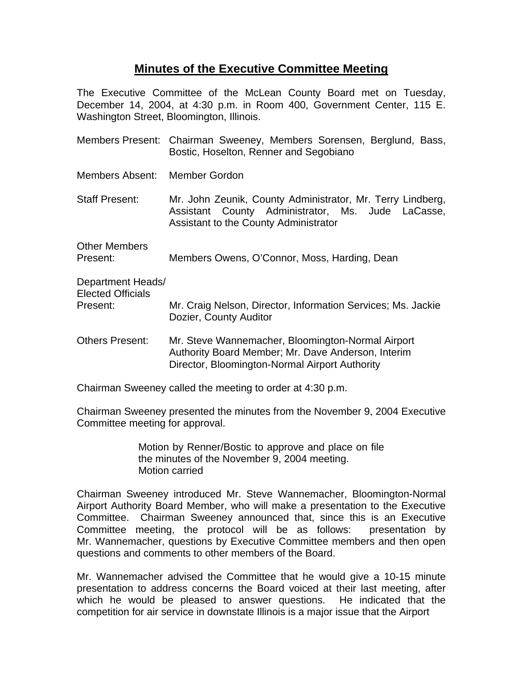## **Minutes of the Executive Committee Meeting**

The Executive Committee of the McLean County Board met on Tuesday, December 14, 2004, at 4:30 p.m. in Room 400, Government Center, 115 E. Washington Street, Bloomington, Illinois.

- Members Present: Chairman Sweeney, Members Sorensen, Berglund, Bass, Bostic, Hoselton, Renner and Segobiano
- Members Absent: Member Gordon
- Staff Present: Mr. John Zeunik, County Administrator, Mr. Terry Lindberg, Assistant County Administrator, Ms. Jude LaCasse, Assistant to the County Administrator
- Other Members Present: Members Owens, O'Connor, Moss, Harding, Dean

Department Heads/ Elected Officials Present: Mr. Craig Nelson, Director, Information Services; Ms. Jackie Dozier, County Auditor

Others Present: Mr. Steve Wannemacher, Bloomington-Normal Airport Authority Board Member; Mr. Dave Anderson, Interim Director, Bloomington-Normal Airport Authority

Chairman Sweeney called the meeting to order at 4:30 p.m.

Chairman Sweeney presented the minutes from the November 9, 2004 Executive Committee meeting for approval.

> Motion by Renner/Bostic to approve and place on file the minutes of the November 9, 2004 meeting. Motion carried

Chairman Sweeney introduced Mr. Steve Wannemacher, Bloomington-Normal Airport Authority Board Member, who will make a presentation to the Executive Committee. Chairman Sweeney announced that, since this is an Executive Committee meeting, the protocol will be as follows: presentation by Mr. Wannemacher, questions by Executive Committee members and then open questions and comments to other members of the Board.

Mr. Wannemacher advised the Committee that he would give a 10-15 minute presentation to address concerns the Board voiced at their last meeting, after which he would be pleased to answer questions. He indicated that the competition for air service in downstate Illinois is a major issue that the Airport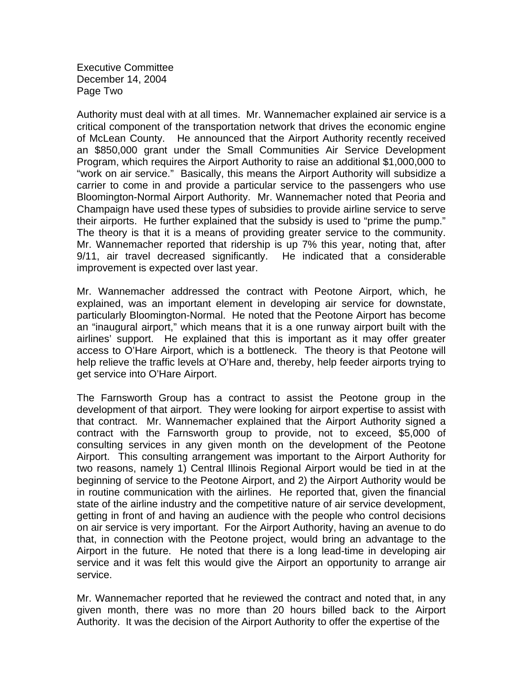Executive Committee December 14, 2004 Page Two

Authority must deal with at all times. Mr. Wannemacher explained air service is a critical component of the transportation network that drives the economic engine of McLean County. He announced that the Airport Authority recently received an \$850,000 grant under the Small Communities Air Service Development Program, which requires the Airport Authority to raise an additional \$1,000,000 to "work on air service." Basically, this means the Airport Authority will subsidize a carrier to come in and provide a particular service to the passengers who use Bloomington-Normal Airport Authority. Mr. Wannemacher noted that Peoria and Champaign have used these types of subsidies to provide airline service to serve their airports. He further explained that the subsidy is used to "prime the pump." The theory is that it is a means of providing greater service to the community. Mr. Wannemacher reported that ridership is up 7% this year, noting that, after 9/11, air travel decreased significantly. He indicated that a considerable improvement is expected over last year.

Mr. Wannemacher addressed the contract with Peotone Airport, which, he explained, was an important element in developing air service for downstate, particularly Bloomington-Normal. He noted that the Peotone Airport has become an "inaugural airport," which means that it is a one runway airport built with the airlines' support. He explained that this is important as it may offer greater access to O'Hare Airport, which is a bottleneck. The theory is that Peotone will help relieve the traffic levels at O'Hare and, thereby, help feeder airports trying to get service into O'Hare Airport.

The Farnsworth Group has a contract to assist the Peotone group in the development of that airport. They were looking for airport expertise to assist with that contract. Mr. Wannemacher explained that the Airport Authority signed a contract with the Farnsworth group to provide, not to exceed, \$5,000 of consulting services in any given month on the development of the Peotone Airport. This consulting arrangement was important to the Airport Authority for two reasons, namely 1) Central Illinois Regional Airport would be tied in at the beginning of service to the Peotone Airport, and 2) the Airport Authority would be in routine communication with the airlines. He reported that, given the financial state of the airline industry and the competitive nature of air service development, getting in front of and having an audience with the people who control decisions on air service is very important. For the Airport Authority, having an avenue to do that, in connection with the Peotone project, would bring an advantage to the Airport in the future. He noted that there is a long lead-time in developing air service and it was felt this would give the Airport an opportunity to arrange air service.

Mr. Wannemacher reported that he reviewed the contract and noted that, in any given month, there was no more than 20 hours billed back to the Airport Authority. It was the decision of the Airport Authority to offer the expertise of the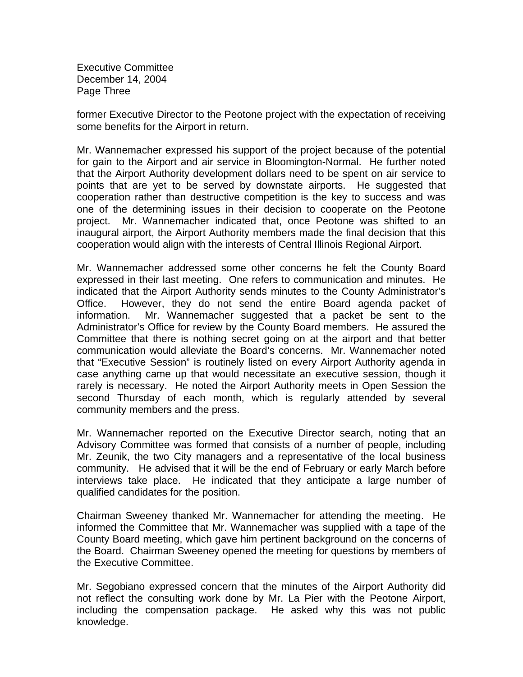Executive Committee December 14, 2004 Page Three

former Executive Director to the Peotone project with the expectation of receiving some benefits for the Airport in return.

Mr. Wannemacher expressed his support of the project because of the potential for gain to the Airport and air service in Bloomington-Normal. He further noted that the Airport Authority development dollars need to be spent on air service to points that are yet to be served by downstate airports. He suggested that cooperation rather than destructive competition is the key to success and was one of the determining issues in their decision to cooperate on the Peotone project. Mr. Wannemacher indicated that, once Peotone was shifted to an inaugural airport, the Airport Authority members made the final decision that this cooperation would align with the interests of Central Illinois Regional Airport.

Mr. Wannemacher addressed some other concerns he felt the County Board expressed in their last meeting. One refers to communication and minutes. He indicated that the Airport Authority sends minutes to the County Administrator's Office. However, they do not send the entire Board agenda packet of information. Mr. Wannemacher suggested that a packet be sent to the Administrator's Office for review by the County Board members. He assured the Committee that there is nothing secret going on at the airport and that better communication would alleviate the Board's concerns. Mr. Wannemacher noted that "Executive Session" is routinely listed on every Airport Authority agenda in case anything came up that would necessitate an executive session, though it rarely is necessary. He noted the Airport Authority meets in Open Session the second Thursday of each month, which is regularly attended by several community members and the press.

Mr. Wannemacher reported on the Executive Director search, noting that an Advisory Committee was formed that consists of a number of people, including Mr. Zeunik, the two City managers and a representative of the local business community. He advised that it will be the end of February or early March before interviews take place. He indicated that they anticipate a large number of qualified candidates for the position.

Chairman Sweeney thanked Mr. Wannemacher for attending the meeting. He informed the Committee that Mr. Wannemacher was supplied with a tape of the County Board meeting, which gave him pertinent background on the concerns of the Board. Chairman Sweeney opened the meeting for questions by members of the Executive Committee.

Mr. Segobiano expressed concern that the minutes of the Airport Authority did not reflect the consulting work done by Mr. La Pier with the Peotone Airport, including the compensation package. He asked why this was not public knowledge.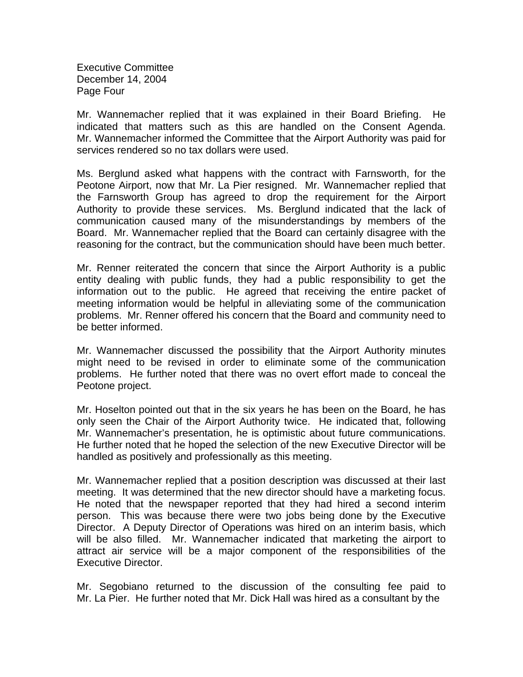Executive Committee December 14, 2004 Page Four

Mr. Wannemacher replied that it was explained in their Board Briefing. He indicated that matters such as this are handled on the Consent Agenda. Mr. Wannemacher informed the Committee that the Airport Authority was paid for services rendered so no tax dollars were used.

Ms. Berglund asked what happens with the contract with Farnsworth, for the Peotone Airport, now that Mr. La Pier resigned. Mr. Wannemacher replied that the Farnsworth Group has agreed to drop the requirement for the Airport Authority to provide these services. Ms. Berglund indicated that the lack of communication caused many of the misunderstandings by members of the Board. Mr. Wannemacher replied that the Board can certainly disagree with the reasoning for the contract, but the communication should have been much better.

Mr. Renner reiterated the concern that since the Airport Authority is a public entity dealing with public funds, they had a public responsibility to get the information out to the public. He agreed that receiving the entire packet of meeting information would be helpful in alleviating some of the communication problems. Mr. Renner offered his concern that the Board and community need to be better informed.

Mr. Wannemacher discussed the possibility that the Airport Authority minutes might need to be revised in order to eliminate some of the communication problems. He further noted that there was no overt effort made to conceal the Peotone project.

Mr. Hoselton pointed out that in the six years he has been on the Board, he has only seen the Chair of the Airport Authority twice. He indicated that, following Mr. Wannemacher's presentation, he is optimistic about future communications. He further noted that he hoped the selection of the new Executive Director will be handled as positively and professionally as this meeting.

Mr. Wannemacher replied that a position description was discussed at their last meeting. It was determined that the new director should have a marketing focus. He noted that the newspaper reported that they had hired a second interim person. This was because there were two jobs being done by the Executive Director. A Deputy Director of Operations was hired on an interim basis, which will be also filled. Mr. Wannemacher indicated that marketing the airport to attract air service will be a major component of the responsibilities of the Executive Director.

Mr. Segobiano returned to the discussion of the consulting fee paid to Mr. La Pier. He further noted that Mr. Dick Hall was hired as a consultant by the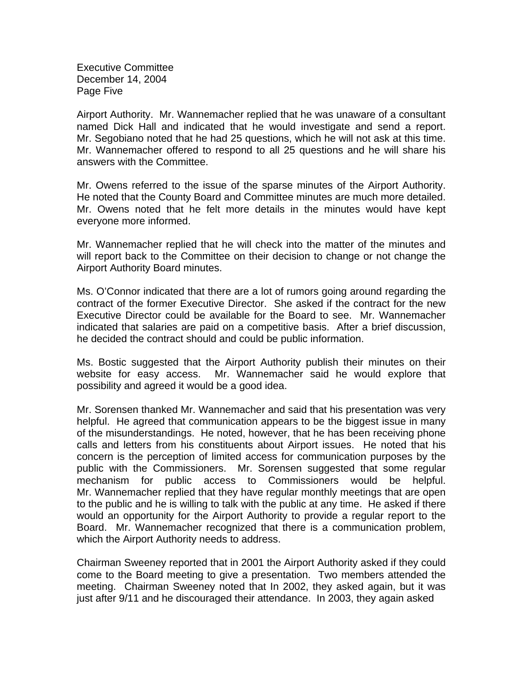Executive Committee December 14, 2004 Page Five

Airport Authority. Mr. Wannemacher replied that he was unaware of a consultant named Dick Hall and indicated that he would investigate and send a report. Mr. Segobiano noted that he had 25 questions, which he will not ask at this time. Mr. Wannemacher offered to respond to all 25 questions and he will share his answers with the Committee.

Mr. Owens referred to the issue of the sparse minutes of the Airport Authority. He noted that the County Board and Committee minutes are much more detailed. Mr. Owens noted that he felt more details in the minutes would have kept everyone more informed.

Mr. Wannemacher replied that he will check into the matter of the minutes and will report back to the Committee on their decision to change or not change the Airport Authority Board minutes.

Ms. O'Connor indicated that there are a lot of rumors going around regarding the contract of the former Executive Director. She asked if the contract for the new Executive Director could be available for the Board to see. Mr. Wannemacher indicated that salaries are paid on a competitive basis. After a brief discussion, he decided the contract should and could be public information.

Ms. Bostic suggested that the Airport Authority publish their minutes on their website for easy access. Mr. Wannemacher said he would explore that possibility and agreed it would be a good idea.

Mr. Sorensen thanked Mr. Wannemacher and said that his presentation was very helpful. He agreed that communication appears to be the biggest issue in many of the misunderstandings. He noted, however, that he has been receiving phone calls and letters from his constituents about Airport issues. He noted that his concern is the perception of limited access for communication purposes by the public with the Commissioners. Mr. Sorensen suggested that some regular mechanism for public access to Commissioners would be helpful. Mr. Wannemacher replied that they have regular monthly meetings that are open to the public and he is willing to talk with the public at any time. He asked if there would an opportunity for the Airport Authority to provide a regular report to the Board. Mr. Wannemacher recognized that there is a communication problem, which the Airport Authority needs to address.

Chairman Sweeney reported that in 2001 the Airport Authority asked if they could come to the Board meeting to give a presentation. Two members attended the meeting. Chairman Sweeney noted that In 2002, they asked again, but it was just after 9/11 and he discouraged their attendance. In 2003, they again asked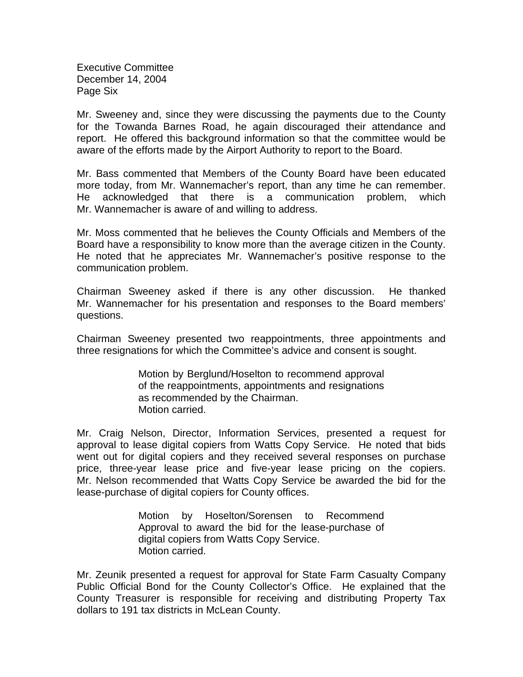Executive Committee December 14, 2004 Page Six

Mr. Sweeney and, since they were discussing the payments due to the County for the Towanda Barnes Road, he again discouraged their attendance and report. He offered this background information so that the committee would be aware of the efforts made by the Airport Authority to report to the Board.

Mr. Bass commented that Members of the County Board have been educated more today, from Mr. Wannemacher's report, than any time he can remember. He acknowledged that there is a communication problem, which Mr. Wannemacher is aware of and willing to address.

Mr. Moss commented that he believes the County Officials and Members of the Board have a responsibility to know more than the average citizen in the County. He noted that he appreciates Mr. Wannemacher's positive response to the communication problem.

Chairman Sweeney asked if there is any other discussion. He thanked Mr. Wannemacher for his presentation and responses to the Board members' questions.

Chairman Sweeney presented two reappointments, three appointments and three resignations for which the Committee's advice and consent is sought.

> Motion by Berglund/Hoselton to recommend approval of the reappointments, appointments and resignations as recommended by the Chairman. Motion carried.

Mr. Craig Nelson, Director, Information Services, presented a request for approval to lease digital copiers from Watts Copy Service. He noted that bids went out for digital copiers and they received several responses on purchase price, three-year lease price and five-year lease pricing on the copiers. Mr. Nelson recommended that Watts Copy Service be awarded the bid for the lease-purchase of digital copiers for County offices.

> Motion by Hoselton/Sorensen to Recommend Approval to award the bid for the lease-purchase of digital copiers from Watts Copy Service. Motion carried.

Mr. Zeunik presented a request for approval for State Farm Casualty Company Public Official Bond for the County Collector's Office. He explained that the County Treasurer is responsible for receiving and distributing Property Tax dollars to 191 tax districts in McLean County.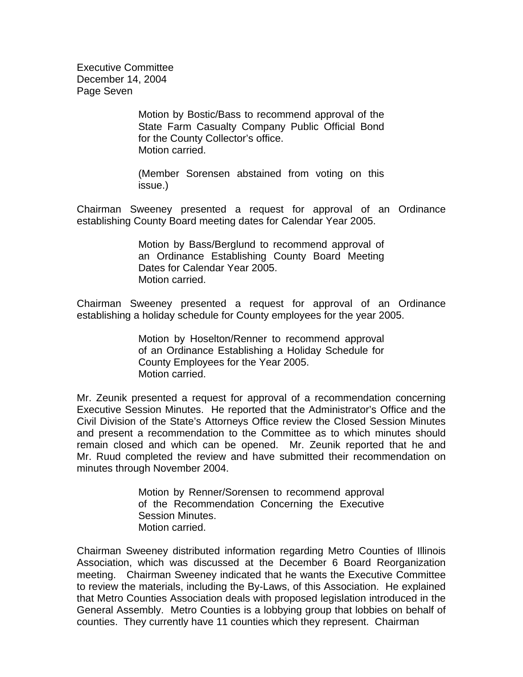Executive Committee December 14, 2004 Page Seven

> Motion by Bostic/Bass to recommend approval of the State Farm Casualty Company Public Official Bond for the County Collector's office. Motion carried.

> (Member Sorensen abstained from voting on this issue.)

Chairman Sweeney presented a request for approval of an Ordinance establishing County Board meeting dates for Calendar Year 2005.

> Motion by Bass/Berglund to recommend approval of an Ordinance Establishing County Board Meeting Dates for Calendar Year 2005. Motion carried.

Chairman Sweeney presented a request for approval of an Ordinance establishing a holiday schedule for County employees for the year 2005.

> Motion by Hoselton/Renner to recommend approval of an Ordinance Establishing a Holiday Schedule for County Employees for the Year 2005. Motion carried.

Mr. Zeunik presented a request for approval of a recommendation concerning Executive Session Minutes. He reported that the Administrator's Office and the Civil Division of the State's Attorneys Office review the Closed Session Minutes and present a recommendation to the Committee as to which minutes should remain closed and which can be opened. Mr. Zeunik reported that he and Mr. Ruud completed the review and have submitted their recommendation on minutes through November 2004.

> Motion by Renner/Sorensen to recommend approval of the Recommendation Concerning the Executive Session Minutes. Motion carried.

Chairman Sweeney distributed information regarding Metro Counties of Illinois Association, which was discussed at the December 6 Board Reorganization meeting. Chairman Sweeney indicated that he wants the Executive Committee to review the materials, including the By-Laws, of this Association. He explained that Metro Counties Association deals with proposed legislation introduced in the General Assembly. Metro Counties is a lobbying group that lobbies on behalf of counties. They currently have 11 counties which they represent. Chairman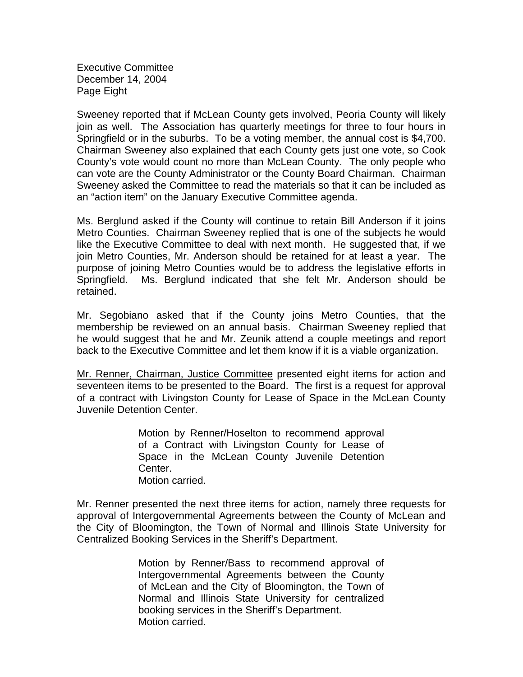Executive Committee December 14, 2004 Page Eight

Sweeney reported that if McLean County gets involved, Peoria County will likely join as well. The Association has quarterly meetings for three to four hours in Springfield or in the suburbs. To be a voting member, the annual cost is \$4,700. Chairman Sweeney also explained that each County gets just one vote, so Cook County's vote would count no more than McLean County. The only people who can vote are the County Administrator or the County Board Chairman. Chairman Sweeney asked the Committee to read the materials so that it can be included as an "action item" on the January Executive Committee agenda.

Ms. Berglund asked if the County will continue to retain Bill Anderson if it joins Metro Counties. Chairman Sweeney replied that is one of the subjects he would like the Executive Committee to deal with next month. He suggested that, if we join Metro Counties, Mr. Anderson should be retained for at least a year. The purpose of joining Metro Counties would be to address the legislative efforts in Springfield. Ms. Berglund indicated that she felt Mr. Anderson should be retained.

Mr. Segobiano asked that if the County joins Metro Counties, that the membership be reviewed on an annual basis. Chairman Sweeney replied that he would suggest that he and Mr. Zeunik attend a couple meetings and report back to the Executive Committee and let them know if it is a viable organization.

Mr. Renner, Chairman, Justice Committee presented eight items for action and seventeen items to be presented to the Board. The first is a request for approval of a contract with Livingston County for Lease of Space in the McLean County Juvenile Detention Center.

> Motion by Renner/Hoselton to recommend approval of a Contract with Livingston County for Lease of Space in the McLean County Juvenile Detention Center. Motion carried.

Mr. Renner presented the next three items for action, namely three requests for approval of Intergovernmental Agreements between the County of McLean and the City of Bloomington, the Town of Normal and Illinois State University for Centralized Booking Services in the Sheriff's Department.

> Motion by Renner/Bass to recommend approval of Intergovernmental Agreements between the County of McLean and the City of Bloomington, the Town of Normal and Illinois State University for centralized booking services in the Sheriff's Department. Motion carried.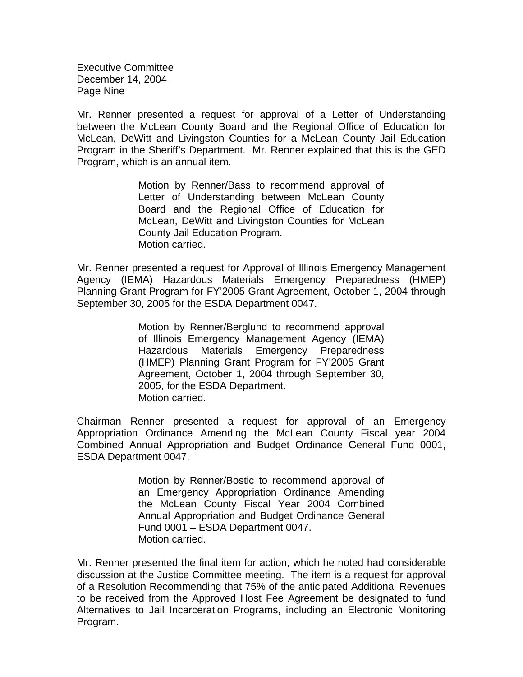Executive Committee December 14, 2004 Page Nine

Mr. Renner presented a request for approval of a Letter of Understanding between the McLean County Board and the Regional Office of Education for McLean, DeWitt and Livingston Counties for a McLean County Jail Education Program in the Sheriff's Department. Mr. Renner explained that this is the GED Program, which is an annual item.

> Motion by Renner/Bass to recommend approval of Letter of Understanding between McLean County Board and the Regional Office of Education for McLean, DeWitt and Livingston Counties for McLean County Jail Education Program. Motion carried.

Mr. Renner presented a request for Approval of Illinois Emergency Management Agency (IEMA) Hazardous Materials Emergency Preparedness (HMEP) Planning Grant Program for FY'2005 Grant Agreement, October 1, 2004 through September 30, 2005 for the ESDA Department 0047.

> Motion by Renner/Berglund to recommend approval of Illinois Emergency Management Agency (IEMA) Hazardous Materials Emergency Preparedness (HMEP) Planning Grant Program for FY'2005 Grant Agreement, October 1, 2004 through September 30, 2005, for the ESDA Department. Motion carried.

Chairman Renner presented a request for approval of an Emergency Appropriation Ordinance Amending the McLean County Fiscal year 2004 Combined Annual Appropriation and Budget Ordinance General Fund 0001, ESDA Department 0047.

> Motion by Renner/Bostic to recommend approval of an Emergency Appropriation Ordinance Amending the McLean County Fiscal Year 2004 Combined Annual Appropriation and Budget Ordinance General Fund 0001 – ESDA Department 0047. Motion carried.

Mr. Renner presented the final item for action, which he noted had considerable discussion at the Justice Committee meeting. The item is a request for approval of a Resolution Recommending that 75% of the anticipated Additional Revenues to be received from the Approved Host Fee Agreement be designated to fund Alternatives to Jail Incarceration Programs, including an Electronic Monitoring Program.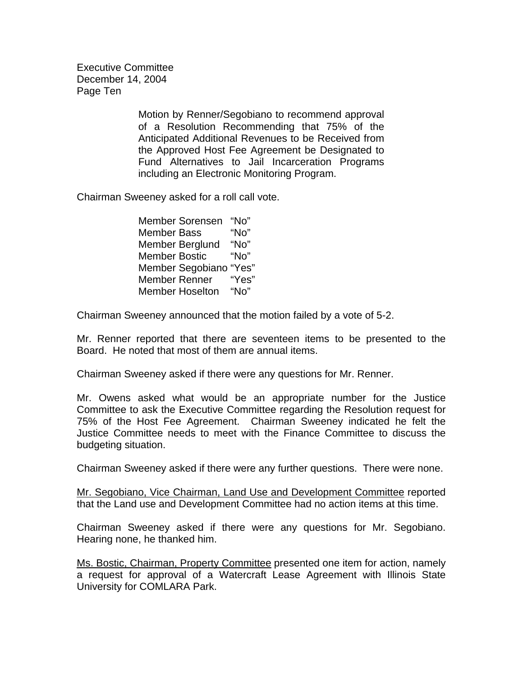Executive Committee December 14, 2004 Page Ten

> Motion by Renner/Segobiano to recommend approval of a Resolution Recommending that 75% of the Anticipated Additional Revenues to be Received from the Approved Host Fee Agreement be Designated to Fund Alternatives to Jail Incarceration Programs including an Electronic Monitoring Program.

Chairman Sweeney asked for a roll call vote.

 Member Sorensen "No" Member Bass "No" Member Berglund "No" Member Bostic "No" Member Segobiano "Yes" Member Renner "Yes" Member Hoselton "No"

Chairman Sweeney announced that the motion failed by a vote of 5-2.

Mr. Renner reported that there are seventeen items to be presented to the Board. He noted that most of them are annual items.

Chairman Sweeney asked if there were any questions for Mr. Renner.

Mr. Owens asked what would be an appropriate number for the Justice Committee to ask the Executive Committee regarding the Resolution request for 75% of the Host Fee Agreement. Chairman Sweeney indicated he felt the Justice Committee needs to meet with the Finance Committee to discuss the budgeting situation.

Chairman Sweeney asked if there were any further questions. There were none.

Mr. Segobiano, Vice Chairman, Land Use and Development Committee reported that the Land use and Development Committee had no action items at this time.

Chairman Sweeney asked if there were any questions for Mr. Segobiano. Hearing none, he thanked him.

Ms. Bostic, Chairman, Property Committee presented one item for action, namely a request for approval of a Watercraft Lease Agreement with Illinois State University for COMLARA Park.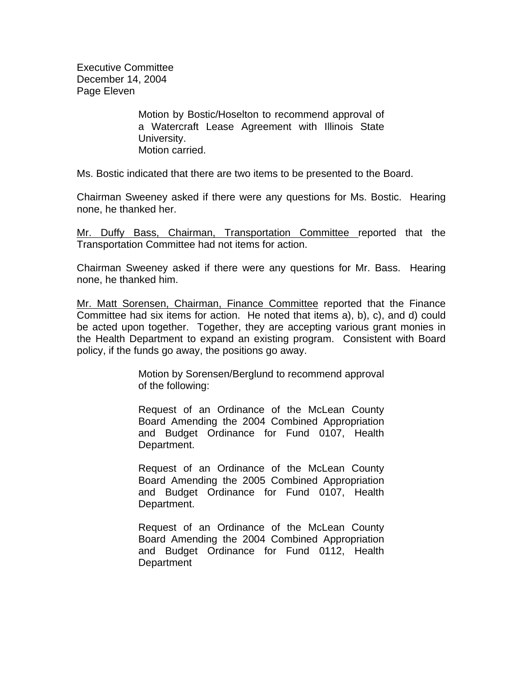Executive Committee December 14, 2004 Page Eleven

> Motion by Bostic/Hoselton to recommend approval of a Watercraft Lease Agreement with Illinois State University. Motion carried.

Ms. Bostic indicated that there are two items to be presented to the Board.

Chairman Sweeney asked if there were any questions for Ms. Bostic. Hearing none, he thanked her.

Mr. Duffy Bass, Chairman, Transportation Committee reported that the Transportation Committee had not items for action.

Chairman Sweeney asked if there were any questions for Mr. Bass. Hearing none, he thanked him.

Mr. Matt Sorensen, Chairman, Finance Committee reported that the Finance Committee had six items for action. He noted that items a), b), c), and d) could be acted upon together. Together, they are accepting various grant monies in the Health Department to expand an existing program. Consistent with Board policy, if the funds go away, the positions go away.

> Motion by Sorensen/Berglund to recommend approval of the following:

> Request of an Ordinance of the McLean County Board Amending the 2004 Combined Appropriation and Budget Ordinance for Fund 0107, Health Department.

> Request of an Ordinance of the McLean County Board Amending the 2005 Combined Appropriation and Budget Ordinance for Fund 0107, Health Department.

> Request of an Ordinance of the McLean County Board Amending the 2004 Combined Appropriation and Budget Ordinance for Fund 0112, Health Department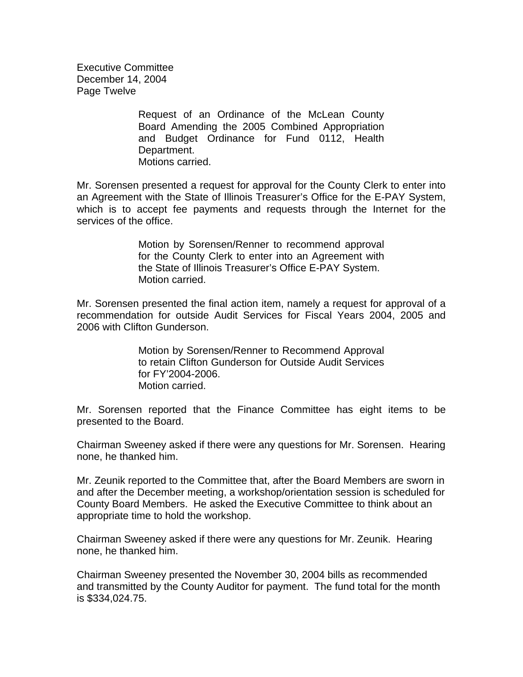Executive Committee December 14, 2004 Page Twelve

> Request of an Ordinance of the McLean County Board Amending the 2005 Combined Appropriation and Budget Ordinance for Fund 0112, Health Department. Motions carried.

Mr. Sorensen presented a request for approval for the County Clerk to enter into an Agreement with the State of Illinois Treasurer's Office for the E-PAY System, which is to accept fee payments and requests through the Internet for the services of the office.

> Motion by Sorensen/Renner to recommend approval for the County Clerk to enter into an Agreement with the State of Illinois Treasurer's Office E-PAY System. Motion carried.

Mr. Sorensen presented the final action item, namely a request for approval of a recommendation for outside Audit Services for Fiscal Years 2004, 2005 and 2006 with Clifton Gunderson.

> Motion by Sorensen/Renner to Recommend Approval to retain Clifton Gunderson for Outside Audit Services for FY'2004-2006. Motion carried.

Mr. Sorensen reported that the Finance Committee has eight items to be presented to the Board.

Chairman Sweeney asked if there were any questions for Mr. Sorensen. Hearing none, he thanked him.

Mr. Zeunik reported to the Committee that, after the Board Members are sworn in and after the December meeting, a workshop/orientation session is scheduled for County Board Members. He asked the Executive Committee to think about an appropriate time to hold the workshop.

Chairman Sweeney asked if there were any questions for Mr. Zeunik. Hearing none, he thanked him.

Chairman Sweeney presented the November 30, 2004 bills as recommended and transmitted by the County Auditor for payment. The fund total for the month is \$334,024.75.